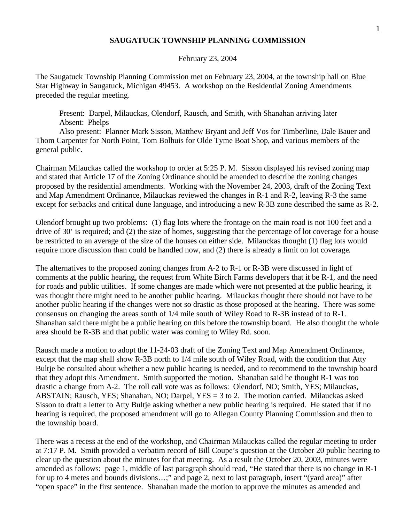## **SAUGATUCK TOWNSHIP PLANNING COMMISSION**

## February 23, 2004

The Saugatuck Township Planning Commission met on February 23, 2004, at the township hall on Blue Star Highway in Saugatuck, Michigan 49453. A workshop on the Residential Zoning Amendments preceded the regular meeting.

Present: Darpel, Milauckas, Olendorf, Rausch, and Smith, with Shanahan arriving later Absent: Phelps

Also present: Planner Mark Sisson, Matthew Bryant and Jeff Vos for Timberline, Dale Bauer and Thom Carpenter for North Point, Tom Bolhuis for Olde Tyme Boat Shop, and various members of the general public.

Chairman Milauckas called the workshop to order at 5:25 P. M. Sisson displayed his revised zoning map and stated that Article 17 of the Zoning Ordinance should be amended to describe the zoning changes proposed by the residential amendments. Working with the November 24, 2003, draft of the Zoning Text and Map Amendment Ordinance, Milauckas reviewed the changes in R-1 and R-2, leaving R-3 the same except for setbacks and critical dune language, and introducing a new R-3B zone described the same as R-2.

Olendorf brought up two problems: (1) flag lots where the frontage on the main road is not 100 feet and a drive of 30' is required; and (2) the size of homes, suggesting that the percentage of lot coverage for a house be restricted to an average of the size of the houses on either side. Milauckas thought (1) flag lots would require more discussion than could be handled now, and (2) there is already a limit on lot coverage.

The alternatives to the proposed zoning changes from A-2 to R-1 or R-3B were discussed in light of comments at the public hearing, the request from White Birch Farms developers that it be R-1, and the need for roads and public utilities. If some changes are made which were not presented at the public hearing, it was thought there might need to be another public hearing. Milauckas thought there should not have to be another public hearing if the changes were not so drastic as those proposed at the hearing. There was some consensus on changing the areas south of 1/4 mile south of Wiley Road to R-3B instead of to R-1. Shanahan said there might be a public hearing on this before the township board. He also thought the whole area should be R-3B and that public water was coming to Wiley Rd. soon.

Rausch made a motion to adopt the 11-24-03 draft of the Zoning Text and Map Amendment Ordinance, except that the map shall show R-3B north to 1/4 mile south of Wiley Road, with the condition that Atty Bultje be consulted about whether a new public hearing is needed, and to recommend to the township board that they adopt this Amendment. Smith supported the motion. Shanahan said he thought R-1 was too drastic a change from A-2. The roll call vote was as follows: Olendorf, NO; Smith, YES; Milauckas, ABSTAIN; Rausch, YES; Shanahan, NO; Darpel, YES = 3 to 2. The motion carried. Milauckas asked Sisson to draft a letter to Atty Bultje asking whether a new public hearing is required. He stated that if no hearing is required, the proposed amendment will go to Allegan County Planning Commission and then to the township board.

There was a recess at the end of the workshop, and Chairman Milauckas called the regular meeting to order at 7:17 P. M. Smith provided a verbatim record of Bill Coupe's question at the October 20 public hearing to clear up the question about the minutes for that meeting. As a result the October 20, 2003, minutes were amended as follows: page 1, middle of last paragraph should read, "He stated that there is no change in R-1 for up to 4 metes and bounds divisions…;" and page 2, next to last paragraph, insert "(yard area)" after "open space" in the first sentence. Shanahan made the motion to approve the minutes as amended and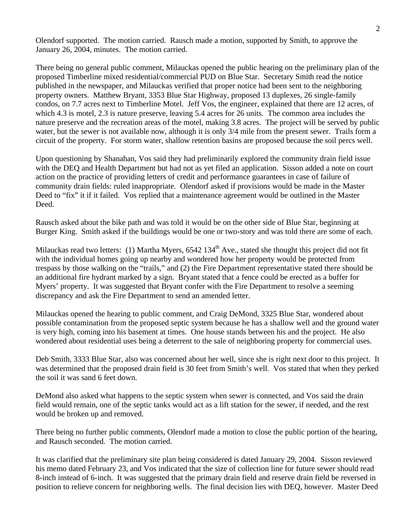Olendorf supported. The motion carried. Rausch made a motion, supported by Smith, to approve the January 26, 2004, minutes. The motion carried.

There being no general public comment, Milauckas opened the public hearing on the preliminary plan of the proposed Timberline mixed residential/commercial PUD on Blue Star. Secretary Smith read the notice published in the newspaper, and Milauckas verified that proper notice had been sent to the neighboring property owners. Matthew Bryant, 3353 Blue Star Highway, proposed 13 duplexes, 26 single-family condos, on 7.7 acres next to Timberline Motel. Jeff Vos, the engineer, explained that there are 12 acres, of which 4.3 is motel, 2.3 is nature preserve, leaving 5.4 acres for 26 units. The common area includes the nature preserve and the recreation areas of the motel, making 3.8 acres. The project will be served by public water, but the sewer is not available now, although it is only 3/4 mile from the present sewer. Trails form a circuit of the property. For storm water, shallow retention basins are proposed because the soil percs well.

Upon questioning by Shanahan, Vos said they had preliminarily explored the community drain field issue with the DEQ and Health Department but had not as yet filed an application. Sisson added a note on court action on the practice of providing letters of credit and performance guarantees in case of failure of community drain fields: ruled inappropriate. Olendorf asked if provisions would be made in the Master Deed to "fix" it if it failed. Vos replied that a maintenance agreement would be outlined in the Master Deed.

Rausch asked about the bike path and was told it would be on the other side of Blue Star, beginning at Burger King. Smith asked if the buildings would be one or two-story and was told there are some of each.

Milauckas read two letters: (1) Martha Myers, 6542 134<sup>th</sup> Ave., stated she thought this project did not fit with the individual homes going up nearby and wondered how her property would be protected from trespass by those walking on the "trails," and (2) the Fire Department representative stated there should be an additional fire hydrant marked by a sign. Bryant stated that a fence could be erected as a buffer for Myers' property. It was suggested that Bryant confer with the Fire Department to resolve a seeming discrepancy and ask the Fire Department to send an amended letter.

Milauckas opened the hearing to public comment, and Craig DeMond, 3325 Blue Star, wondered about possible contamination from the proposed septic system because he has a shallow well and the ground water is very high, coming into his basement at times. One house stands between his and the project. He also wondered about residential uses being a deterrent to the sale of neighboring property for commercial uses.

Deb Smith, 3333 Blue Star, also was concerned about her well, since she is right next door to this project. It was determined that the proposed drain field is 30 feet from Smith's well. Vos stated that when they perked the soil it was sand 6 feet down.

DeMond also asked what happens to the septic system when sewer is connected, and Vos said the drain field would remain, one of the septic tanks would act as a lift station for the sewer, if needed, and the rest would be broken up and removed.

There being no further public comments, Olendorf made a motion to close the public portion of the hearing, and Rausch seconded. The motion carried.

It was clarified that the preliminary site plan being considered is dated January 29, 2004. Sisson reviewed his memo dated February 23, and Vos indicated that the size of collection line for future sewer should read 8-inch instead of 6-inch. It was suggested that the primary drain field and reserve drain field be reversed in position to relieve concern for neighboring wells. The final decision lies with DEQ, however. Master Deed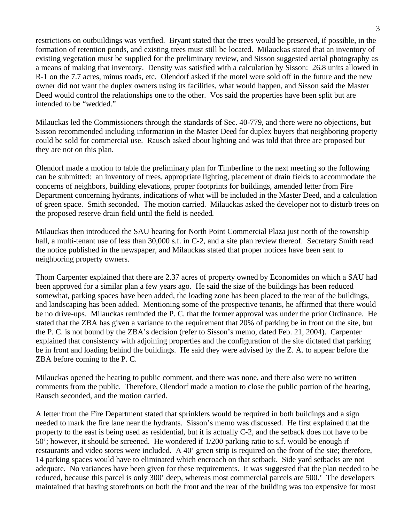restrictions on outbuildings was verified. Bryant stated that the trees would be preserved, if possible, in the formation of retention ponds, and existing trees must still be located. Milauckas stated that an inventory of existing vegetation must be supplied for the preliminary review, and Sisson suggested aerial photography as a means of making that inventory. Density was satisfied with a calculation by Sisson: 26.8 units allowed in R-1 on the 7.7 acres, minus roads, etc. Olendorf asked if the motel were sold off in the future and the new owner did not want the duplex owners using its facilities, what would happen, and Sisson said the Master Deed would control the relationships one to the other. Vos said the properties have been split but are intended to be "wedded."

Milauckas led the Commissioners through the standards of Sec. 40-779, and there were no objections, but Sisson recommended including information in the Master Deed for duplex buyers that neighboring property could be sold for commercial use. Rausch asked about lighting and was told that three are proposed but they are not on this plan.

Olendorf made a motion to table the preliminary plan for Timberline to the next meeting so the following can be submitted: an inventory of trees, appropriate lighting, placement of drain fields to accommodate the concerns of neighbors, building elevations, proper footprints for buildings, amended letter from Fire Department concerning hydrants, indications of what will be included in the Master Deed, and a calculation of green space. Smith seconded. The motion carried. Milauckas asked the developer not to disturb trees on the proposed reserve drain field until the field is needed.

Milauckas then introduced the SAU hearing for North Point Commercial Plaza just north of the township hall, a multi-tenant use of less than 30,000 s.f. in C-2, and a site plan review thereof. Secretary Smith read the notice published in the newspaper, and Milauckas stated that proper notices have been sent to neighboring property owners.

Thom Carpenter explained that there are 2.37 acres of property owned by Economides on which a SAU had been approved for a similar plan a few years ago. He said the size of the buildings has been reduced somewhat, parking spaces have been added, the loading zone has been placed to the rear of the buildings, and landscaping has been added. Mentioning some of the prospective tenants, he affirmed that there would be no drive-ups. Milauckas reminded the P. C. that the former approval was under the prior Ordinance. He stated that the ZBA has given a variance to the requirement that 20% of parking be in front on the site, but the P. C. is not bound by the ZBA's decision (refer to Sisson's memo, dated Feb. 21, 2004). Carpenter explained that consistency with adjoining properties and the configuration of the site dictated that parking be in front and loading behind the buildings. He said they were advised by the Z. A. to appear before the ZBA before coming to the P. C.

Milauckas opened the hearing to public comment, and there was none, and there also were no written comments from the public. Therefore, Olendorf made a motion to close the public portion of the hearing, Rausch seconded, and the motion carried.

A letter from the Fire Department stated that sprinklers would be required in both buildings and a sign needed to mark the fire lane near the hydrants. Sisson's memo was discussed. He first explained that the property to the east is being used as residential, but it is actually C-2, and the setback does not have to be 50'; however, it should be screened. He wondered if 1/200 parking ratio to s.f. would be enough if restaurants and video stores were included. A 40' green strip is required on the front of the site; therefore, 14 parking spaces would have to eliminated which encroach on that setback. Side yard setbacks are not adequate. No variances have been given for these requirements. It was suggested that the plan needed to be reduced, because this parcel is only 300' deep, whereas most commercial parcels are 500.' The developers maintained that having storefronts on both the front and the rear of the building was too expensive for most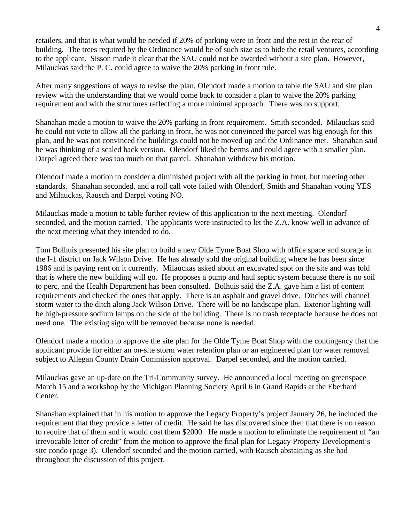retailers, and that is what would be needed if 20% of parking were in front and the rest in the rear of building. The trees required by the Ordinance would be of such size as to hide the retail ventures, according to the applicant. Sisson made it clear that the SAU could not be awarded without a site plan. However, Milauckas said the P. C. could agree to waive the 20% parking in front rule.

After many suggestions of ways to revise the plan, Olendorf made a motion to table the SAU and site plan review with the understanding that we would come back to consider a plan to waive the 20% parking requirement and with the structures reflecting a more minimal approach. There was no support.

Shanahan made a motion to waive the 20% parking in front requirement. Smith seconded. Milauckas said he could not vote to allow all the parking in front, he was not convinced the parcel was big enough for this plan, and he was not convinced the buildings could not be moved up and the Ordinance met. Shanahan said he was thinking of a scaled back version. Olendorf liked the berms and could agree with a smaller plan. Darpel agreed there was too much on that parcel. Shanahan withdrew his motion.

Olendorf made a motion to consider a diminished project with all the parking in front, but meeting other standards. Shanahan seconded, and a roll call vote failed with Olendorf, Smith and Shanahan voting YES and Milauckas, Rausch and Darpel voting NO.

Milauckas made a motion to table further review of this application to the next meeting. Olendorf seconded, and the motion carried. The applicants were instructed to let the Z.A. know well in advance of the next meeting what they intended to do.

Tom Bolhuis presented his site plan to build a new Olde Tyme Boat Shop with office space and storage in the I-1 district on Jack Wilson Drive. He has already sold the original building where he has been since 1986 and is paying rent on it currently. Milauckas asked about an excavated spot on the site and was told that is where the new building will go. He proposes a pump and haul septic system because there is no soil to perc, and the Health Department has been consulted. Bolhuis said the Z.A. gave him a list of content requirements and checked the ones that apply. There is an asphalt and gravel drive. Ditches will channel storm water to the ditch along Jack Wilson Drive. There will be no landscape plan. Exterior lighting will be high-pressure sodium lamps on the side of the building. There is no trash receptacle because he does not need one. The existing sign will be removed because none is needed.

Olendorf made a motion to approve the site plan for the Olde Tyme Boat Shop with the contingency that the applicant provide for either an on-site storm water retention plan or an engineered plan for water removal subject to Allegan County Drain Commission approval. Darpel seconded, and the motion carried.

Milauckas gave an up-date on the Tri-Community survey. He announced a local meeting on greenspace March 15 and a workshop by the Michigan Planning Society April 6 in Grand Rapids at the Eberhard Center.

Shanahan explained that in his motion to approve the Legacy Property's project January 26, he included the requirement that they provide a letter of credit. He said he has discovered since then that there is no reason to require that of them and it would cost them \$2000. He made a motion to eliminate the requirement of "an irrevocable letter of credit" from the motion to approve the final plan for Legacy Property Development's site condo (page 3). Olendorf seconded and the motion carried, with Rausch abstaining as she had throughout the discussion of this project.